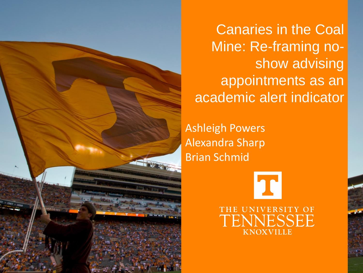

Canaries in the Coal Mine: Re-framing noshow advising appointments as an academic alert indicator

Ashleigh Powers Alexandra Sharp Brian Schmid

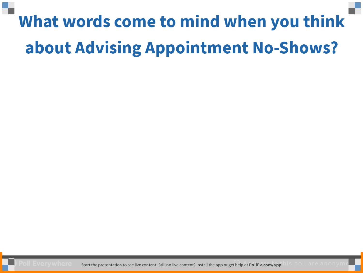### What words come to mind when you think about Advising Appointment No-Shows?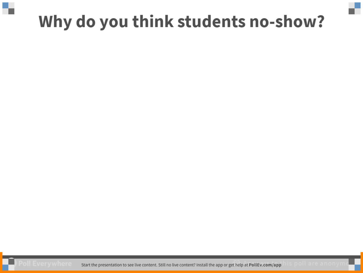#### Why do you think students no-show?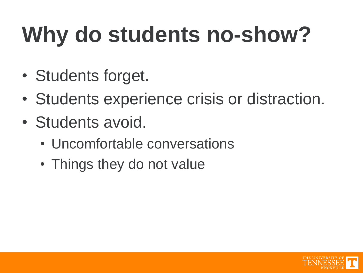# **Why do students no-show?**

- Students forget.
- Students experience crisis or distraction.
- Students avoid.
	- Uncomfortable conversations
	- Things they do not value

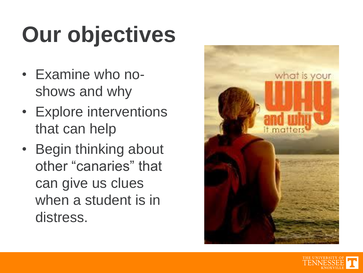# **Our objectives**

- Examine who noshows and why
- Explore interventions that can help
- Begin thinking about other "canaries" that can give us clues when a student is in distress.



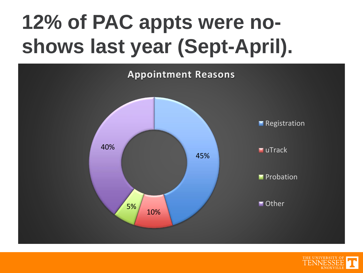## **12% of PAC appts were noshows last year (Sept-April).**



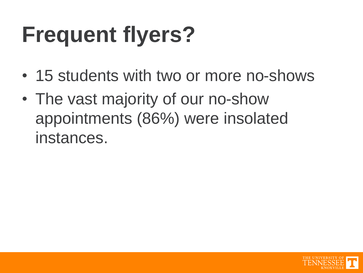# **Frequent flyers?**

- 15 students with two or more no-shows
- The vast majority of our no-show appointments (86%) were insolated instances.

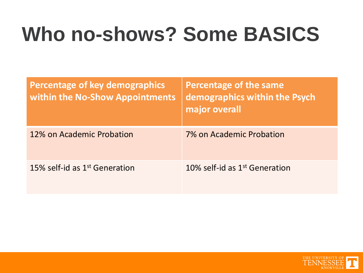### **Who no-shows? Some BASICS**

| <b>Percentage of key demographics</b><br>within the No-Show Appointments | Percentage of the same<br>demographics within the Psych<br>major overall |
|--------------------------------------------------------------------------|--------------------------------------------------------------------------|
| 12% on Academic Probation                                                | 7% on Academic Probation                                                 |
| 15% self-id as $1st$ Generation                                          | 10% self-id as $1st$ Generation                                          |

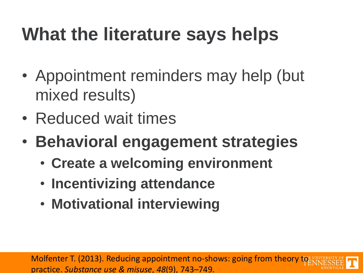#### **What the literature says helps**

- Appointment reminders may help (but mixed results)
- Reduced wait times
- **Behavioral engagement strategies**
	- **Create a welcoming environment**
	- **Incentivizing attendance**
	- **Motivational interviewing**

Molfenter T. (2013). Reducing appointment no-shows: going from theory to practice. *Substance use & misuse*, *48*(9), 743–749.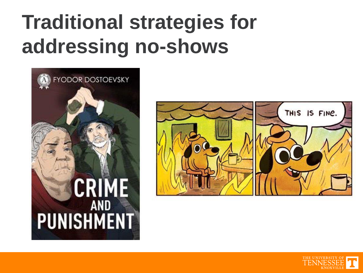### **Traditional strategies for addressing no-shows**





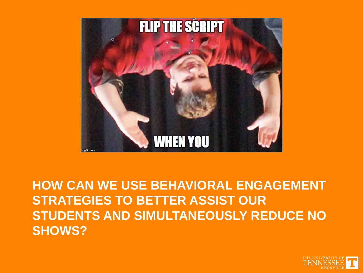

**HOW CAN WE USE BEHAVIORAL ENGAGEMENT STRATEGIES TO BETTER ASSIST OUR STUDENTS AND SIMULTANEOUSLY REDUCE NO SHOWS?**

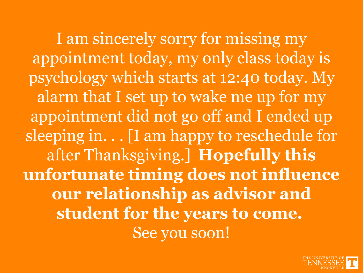I am sincerely sorry for missing my appointment today, my only class today is psychology which starts at 12:40 today. My alarm that I set up to wake me up for my appointment did not go off and I ended up sleeping in. . . [I am happy to reschedule for after Thanksgiving.] **Hopefully this unfortunate timing does not influence our relationship as advisor and student for the years to come.** See you soon!

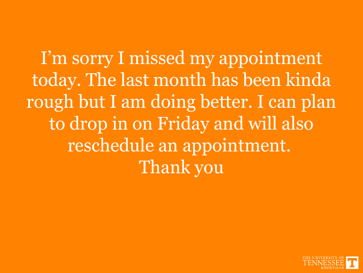I'm sorry I missed my appointment today. The last month has been kinda rough but I am doing better. I can plan to drop in on Friday and will also reschedule an appointment. Thank you

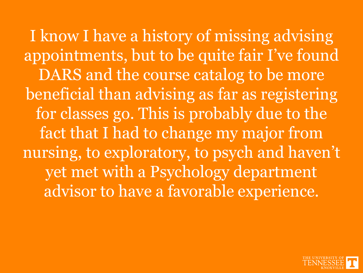I know I have a history of missing advising appointments, but to be quite fair I've found DARS and the course catalog to be more beneficial than advising as far as registering for classes go. This is probably due to the fact that I had to change my major from nursing, to exploratory, to psych and haven't yet met with a Psychology department advisor to have a favorable experience.

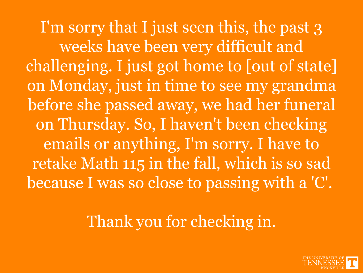I'm sorry that I just seen this, the past 3 weeks have been very difficult and challenging. I just got home to [out of state] on Monday, just in time to see my grandma before she passed away, we had her funeral on Thursday. So, I haven't been checking emails or anything, I'm sorry. I have to retake Math 115 in the fall, which is so sad because I was so close to passing with a 'C'.

Thank you for checking in.

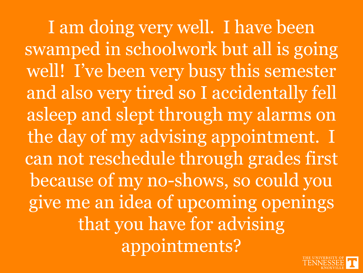I am doing very well. I have been swamped in schoolwork but all is going well! I've been very busy this semester and also very tired so I accidentally fell asleep and slept through my alarms on the day of my advising appointment. I can not reschedule through grades first because of my no-shows, so could you give me an idea of upcoming openings that you have for advising appointments?